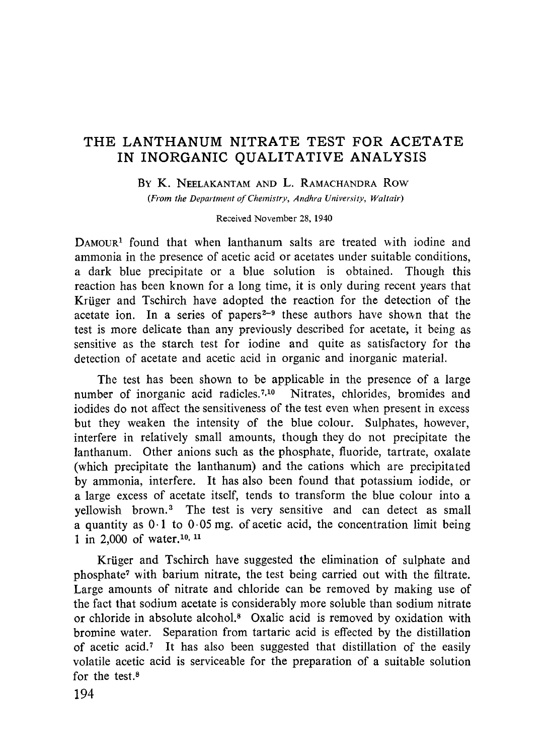# **THE LANTHANUM NITRATE TEST FOR ACETATE IN INORGANIC QUALITATIVE ANALYSIS**

#### **BY** K. NEELAKANTAM AND L. RAMACHANDRA Row

*(From the Department of Chemistry, Andhra University, Waltair)*

#### Received November 28, 1940

DAMOUR' found that when lanthanum salts are treated with iodine and ammonia in the presence of acetic acid or acetates under suitable conditions, a dark blue precipitate or a blue solution is obtained. Though this reaction has been known for a long time, it is only during recent years that Kruger and Tschirch have adopted the reaction for the detection of the acetate ion. In a series of papers **2-9** these authors have shown that the test is more delicate than any previously described for acetate, it being as sensitive as the starch test for iodine and quite as satisfactory for the detection of acetate and acetic acid in organic and inorganic material.

The test has been shown to be applicable in the presence of a large number of inorganic acid radicles.<sup>7,10</sup> Nitrates, chlorides, bromides and iodides do not affect the sensitiveness of the test even when present in excess but they weaken the intensity of the blue colour. Sulphates, however, interfere in relatively small amounts, though they do not precipitate the lanthanum. Other anions such as the phosphate, fluoride, tartrate, oxalate (which precipitate the lanthanum) and the cations which are precipitated by ammonia, interfere. It has also been found that potassium iodide, or a large excess of acetate itself, tends to transform the blue colour into a yellowish brown.<sup>3</sup> The test is very sensitive and can detect as small a quantity as  $0.1$  to  $0.05$  mg. of acetic acid, the concentration limit being 1 in 2,000 of water.<sup>10, 11</sup>

Krüger and Tschirch have suggested the elimination of sulphate and phosphate' with barium nitrate, the test being carried out with the filtrate. Large amounts of nitrate and chloride can be removed by making use of the fact that sodium acetate is considerably more soluble than sodium nitrate or chloride in absolute alcohol.<sup>8</sup> Oxalic acid is removed by oxidation with bromine water. Separation from tartaric acid is effected by the distillation of acetic acid.? It has also been suggested that distillation of the easily volatile acetic acid is serviceable for the preparation of a suitable solution for the test.<sup>8</sup>

194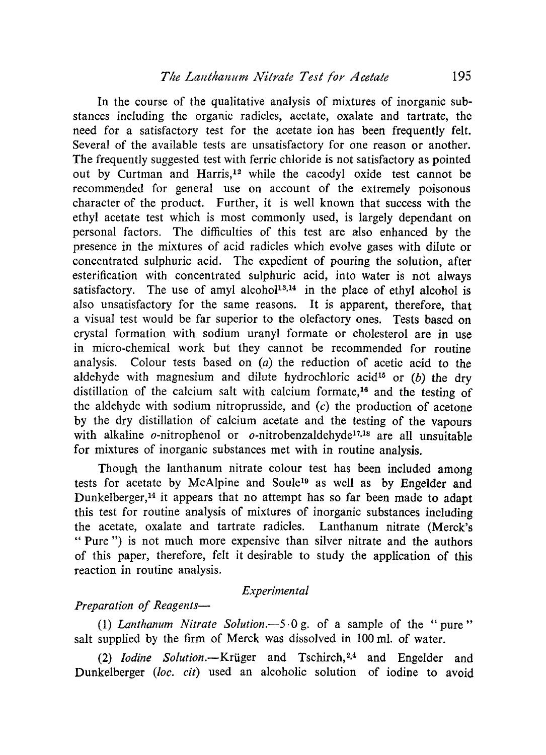In the course of the qualitative analysis of mixtures of inorganic substances including the organic radicles, acetate, oxalate and tartrate, the need for a satisfactory test for the acetate ion has been frequently felt. Several of the available tests are unsatisfactory for one reason or another. The frequently suggested test with ferric chloride is not satisfactory as pointed out by Curtman and Harris,<sup>12</sup> while the cacodyl oxide test cannot be recommended for general use on account of the extremely poisonous character of the product. Further, it is well known that success with the ethyl acetate test which is most commonly used, is largely dependant on personal factors. The difficulties of this test are also enhanced by the presence in the mixtures of acid radicles which evolve gases with dilute or concentrated sulphuric acid. The expedient of pouring the solution, after esterification with concentrated sulphuric acid, into water is not always satisfactory. The use of amyl alcohol<sup>13,14</sup> in the place of ethyl alcohol is also unsatisfactory for the same reasons. It is apparent, therefore, that a visual test would be far superior to the olefactory ones. Tests based on crystal formation with sodium uranyl formate or cholesterol are in use in micro-chemical work but they cannot be recommended for routine analysis. Colour tests based on *(a)* the reduction of acetic acid to the aldehyde with magnesium and dilute hydrochloric acid<sup>15</sup> or (b) the dry distillation of the calcium salt with calcium formate,<sup>16</sup> and the testing of the aldehyde with sodium nitroprusside, and  $(c)$  the production of acetone by the dry distillation of calcium acetate and the testing of the vapours with alkaline  $o$ -nitrophenol or  $o$ -nitrobenzaldehyde<sup>17,18</sup> are all unsuitable for mixtures of inorganic substances met with in routine analysis.

Though the lanthanum nitrate colour test has been included among tests for acetate by McAlpine and Soule<sup>19</sup> as well as by Engelder and Dunkelberger, <sup>14</sup> it appears that no attempt has so far been made to adapt this test for routine analysis of mixtures of inorganic substances including the acetate, oxalate and tartrate radicles. Lanthanum nitrate (Merck's " Pure ") is not much more expensive than silver nitrate and the authors of this paper, therefore, felt it desirable to study the application of this reaction in routine analysis.

#### *Experimental*

### *Preparation of Reagents—*

*(1) Lanthanum Nitrate Solution.-5.0 g.* of a sample of the " pure " salt supplied by the firm of Merck was dissolved in 100 ml. of water.

*(2) Iodine Solution.—Kruger* and Tschirch, <sup>2</sup>.<sup>4</sup> and Engelder and Dunkelberger *(loc. cit)* used an alcoholic solution of iodine to avoid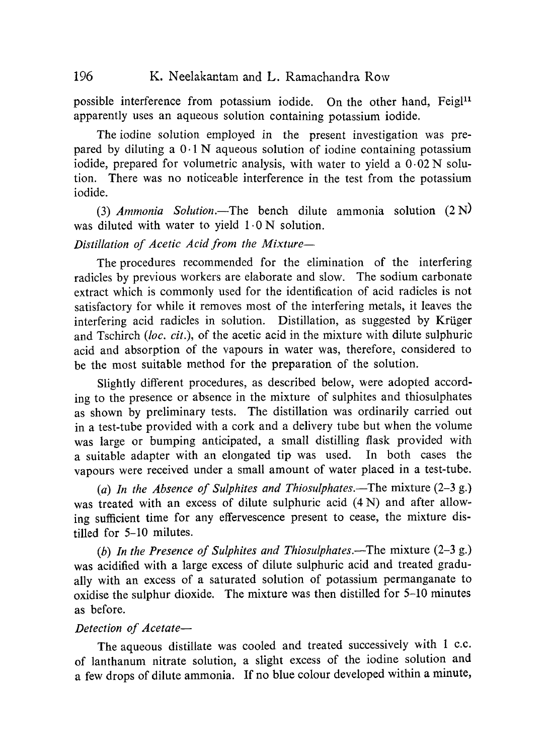possible interference from potassium iodide. On the other hand, Feigl<sup>11</sup> apparently uses an aqueous solution *containing* potassium iodide.

The iodine solution employed in the present investigation was prepared by diluting a  $0.1$  N aqueous solution of iodine containing potassium iodide, prepared for volumetric analysis, with water to yield a 0•02 N solution. There was no noticeable interference in the test from the potassium iodide.

*(3) Ammonia Solution.—The* bench dilute ammonia solution (2 N) was diluted with water to yield  $1.0 N$  solution.

# *Distillation of Acetic Acid from the Mixture—*

The procedures recommended for the elimination of the interfering radicles by previous workers are elaborate and slow. The sodium carbonate extract which is commonly used for the identification of acid radicles is not satisfactory for while it removes most of the interfering metals, it leaves the interfering acid radicles in solution. Distillation, as suggested by Krüger and Tschirch *(loc. cit.),* of the acetic acid in the mixture with dilute sulphuric acid and absorption of the vapours in water was, therefore, considered to be the most suitable method for the preparation of the solution.

Slightly different procedures, as described below, were adopted according to the presence or absence in the mixture of sulphites and thiosulphates as shown by preliminary tests. The distillation was ordinarily carried out in a test-tube provided with a cork and a delivery tube but when the volume was large or bumping anticipated, a small distilling flask provided with a suitable adapter with an elongated tip was used. In both cases the vapours were received under a small amount of water placed in a test-tube.

*(a) In the Absence of Sulphites and Thiosulphates.—The* mixture (2-3 g.) was treated with an excess of dilute sulphuric acid (4 N) and after allowing sufficient time for any effervescence present to cease, the mixture distilled for 5-10 milutes.

*(b) In the Presence of Sulphites and Thiosulphates.—The* mixture (2-3 g.) was acidified with a large excess of dilute sulphuric acid and treated gradually with an excess of a saturated solution of potassium permanganate to oxidise the sulphur dioxide. The mixture was then distilled for 5-10 minutes as before.

### *Detection of Acetate—*

The aqueous distillate was cooled and treated successively with 1 c.c. of lanthanum nitrate solution, a slight excess of the iodine solution and a few drops of dilute ammonia. If no blue colour developed within a minute,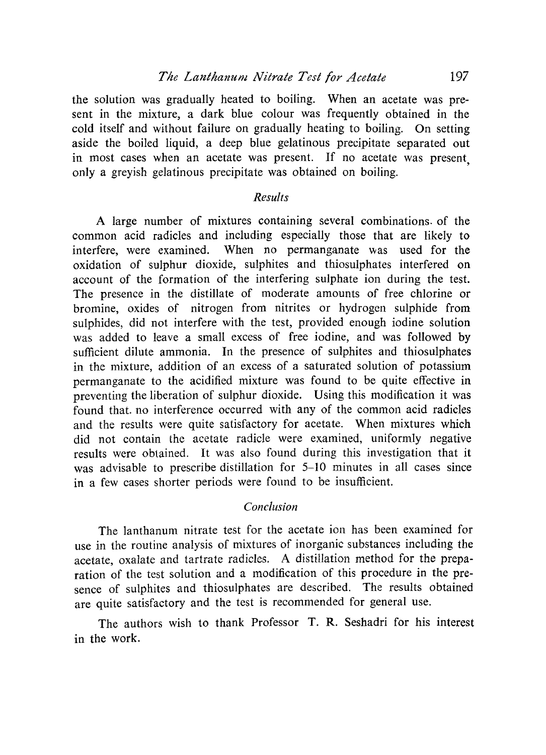the solution was gradually heated to boiling. When an acetate was present in the mixture, a dark blue colour was frequently obtained in the cold itself and without failure on gradually heating to boiling. On setting aside the boiled liquid, a deep blue gelatinous precipitate separated out in most cases when an acetate was present. If no acetate was present, only a greyish gelatinous precipitate was obtained on boiling.

## *Results*

A large number of mixtures containing several combinations, of the common acid radicles and including especially those that are likely to interfere, were examined. When no permanganate was used for the oxidation of sulphur dioxide, sulphites and thiosulphates interfered on account of the formation of the interfering sulphate ion during the test. The presence in the distillate of moderate amounts of free chlorine or bromine, oxides of nitrogen from nitrites or hydrogen sulphide from sulphides, did not interfere with the test, provided enough iodine solution was added to leave a small excess of free iodine, and was followed by sufficient dilute ammonia. In the presence of sulphites and thiosulphates in the mixture, addition of an excess of a saturated solution of potassium permanganate to the acidified mixture was found to be quite effective in preventing the liberation of sulphur dioxide. Using this modification it was found that. no interference occurred with any of the common acid radicles and the results were quite satisfactory for acetate. When mixtures which did not contain the acetate radicle were examined, uniformly negative results were obtained. It was also found during this investigation that it was advisable to prescribe distillation for 5-10 minutes in all cases since in a few cases shorter periods were found to be insufficient.

#### *Conclusion*

The lanthanum nitrate test for the acetate ion has been examined for use in the routine analysis of mixtures of inorganic substances including the acetate, oxalate and tartrate radicles. A distillation method for the preparation of the test solution and a modification of this procedure in the presence of sulphites and thiosulphates are described. The results obtained are quite satisfactory and the test is recommended for general use.

The authors wish to thank Professor T. R. Seshadri for his interest in the work.